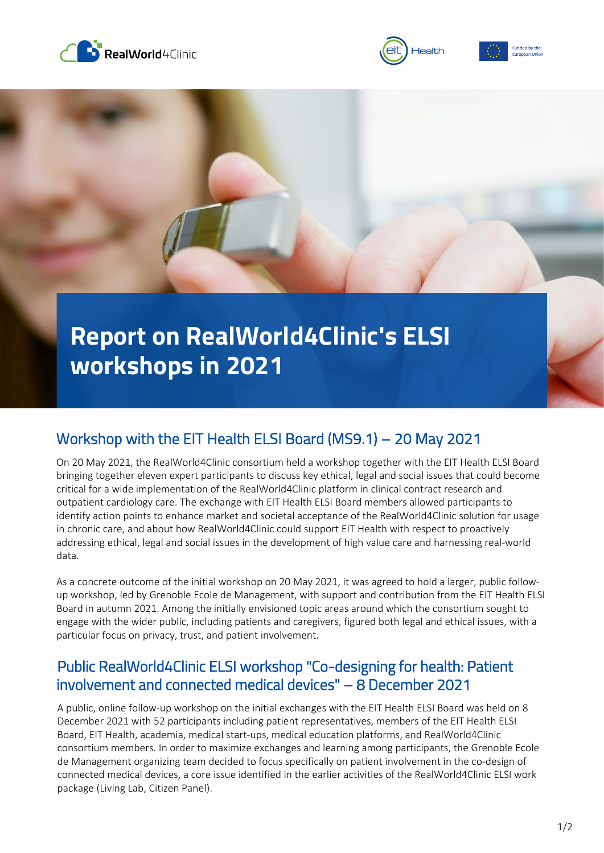





## **Report on RealWorld4Clinic's ELSI workshops in 2021**

## Workshop with the EIT Health ELSI Board (MS9.1) – 20 May 2021

On 20 May 2021, the RealWorld4Clinic consortium held a workshop together with the EIT Health ELSI Board bringing together eleven expert participants to discuss key ethical, legal and social issues that could become critical for a wide implementation of the RealWorld4Clinic platform in clinical contract research and outpatient cardiology care. The exchange with EIT Health ELSI Board members allowed participants to identify action points to enhance market and societal acceptance of the RealWorld4Clinic solution for usage in chronic care, and about how RealWorld4Clinic could support EIT Health with respect to proactively addressing ethical, legal and social issues in the development of high value care and harnessing real-world data.

As a concrete outcome of the initial workshop on 20 May 2021, it was agreed to hold a larger, public followup workshop, led by Grenoble Ecole de Management, with support and contribution from the EIT Health ELSI Board in autumn 2021. Among the initially envisioned topic areas around which the consortium sought to engage with the wider public, including patients and caregivers, figured both legal and ethical issues, with a particular focus on privacy, trust, and patient involvement.

## Public RealWorld4Clinic ELSI workshop "Co-designing for health: Patient involvement and connected medical devices" – 8 December 2021

A public, online follow-up workshop on the initial exchanges with the EIT Health ELSI Board was held on 8 December 2021 with 52 participants including patient representatives, members of the EIT Health ELSI Board, EIT Health, academia, medical start-ups, medical education platforms, and RealWorld4Clinic consortium members. In order to maximize exchanges and learning among participants, the Grenoble Ecole de Management organizing team decided to focus specifically on patient involvement in the co-design of connected medical devices, a core issue identified in the earlier activities of the RealWorld4Clinic ELSI work package (Living Lab, Citizen Panel).